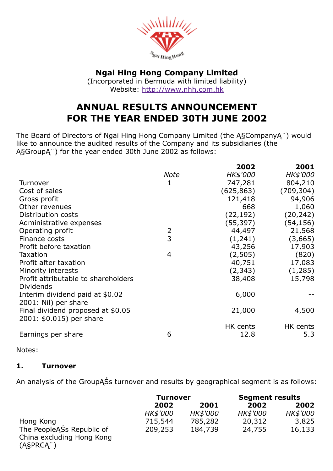

## Ngai Hing Hong Company Limited

(Incorporated in Bermuda with limited liability) Website: [http://www.nhh.com.hk](http://www.nhh.com.hk/)

# ANNUAL RESULTS ANNOUNCEMENT FOR THE YEAR ENDED 30TH JUNE 2002

The Board of Directors of Ngai Hing Hong Company Limited (the Ą§CompanyĄ¨) would like to announce the audited results of the Company and its subsidiaries (the Ą§GroupĄ¨) for the year ended 30th June 2002 as follows:

|                                                               |             | 2002       | 2001       |
|---------------------------------------------------------------|-------------|------------|------------|
|                                                               | <b>Note</b> | HK\$'000   | HK\$'000   |
| Turnover                                                      | 1           | 747,281    | 804,210    |
| Cost of sales                                                 |             | (625, 863) | (709, 304) |
| Gross profit                                                  |             | 121,418    | 94,906     |
| Other revenues                                                |             | 668        | 1,060      |
| Distribution costs                                            |             | (22, 192)  | (20, 242)  |
| Administrative expenses                                       |             | (55,397)   | (54, 156)  |
| Operating profit                                              | 2           | 44,497     | 21,568     |
| Finance costs                                                 | 3           | (1,241)    | (3,665)    |
| Profit before taxation                                        |             | 43,256     | 17,903     |
| <b>Taxation</b>                                               | 4           | (2,505)    | (820)      |
| Profit after taxation                                         |             | 40,751     | 17,083     |
| Minority interests                                            |             | (2, 343)   | (1,285)    |
| Profit attributable to shareholders<br><b>Dividends</b>       |             | 38,408     | 15,798     |
| Interim dividend paid at \$0.02                               |             | 6,000      |            |
| 2001: Nil) per share                                          |             |            |            |
| Final dividend proposed at \$0.05<br>2001: \$0.015) per share |             | 21,000     | 4,500      |
|                                                               |             | HK cents   | HK cents   |
| Earnings per share                                            | 6           | 12.8       | 5.3        |

Notes:

#### 1. Turnover

An analysis of the GroupĄŚs turnover and results by geographical segment is as follows:

|                                                                        | <b>Turnover</b> |                 | <b>Segment results</b> |          |
|------------------------------------------------------------------------|-----------------|-----------------|------------------------|----------|
|                                                                        | 2002            | 2001            | 2002                   | 2002     |
|                                                                        | <b>HK\$'000</b> | <b>HK\$'000</b> | HK\$'000               | HK\$'000 |
| Hong Kong                                                              | 715,544         | 785,282         | 20,312                 | 3,825    |
| The PeopleASs Republic of<br>China excluding Hong Kong<br>$(ASPRCA^+)$ | 209,253         | 184,739         | 24,755                 | 16,133   |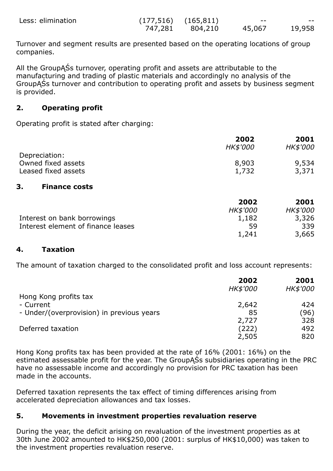| Less: elimination |         | $(177,516)$ $(165,811)$ | --     | --     |
|-------------------|---------|-------------------------|--------|--------|
|                   | 747,281 | 804,210                 | 45,067 | 19,958 |

Turnover and segment results are presented based on the operating locations of group companies.

All the GroupĄŚs turnover, operating profit and assets are attributable to the manufacturing and trading of plastic materials and accordingly no analysis of the GroupĄŚs turnover and contribution to operating profit and assets by business segment is provided.

#### 2. Operating profit

Operating profit is stated after charging:

|                            | 2002<br>HK\$'000 | 2001<br>HK\$'000 |
|----------------------------|------------------|------------------|
| Depreciation:              |                  |                  |
| Owned fixed assets         | 8,903            | 9,534            |
| Leased fixed assets        | 1,732            | 3,371            |
| 3.<br><b>Finance costs</b> |                  |                  |
|                            |                  |                  |

|                                    | 2002            | 2001            |
|------------------------------------|-----------------|-----------------|
|                                    | <b>HK\$'000</b> | <b>HK\$'000</b> |
| Interest on bank borrowings        | 1,182           | 3,326           |
| Interest element of finance leases | 59              | 339             |
|                                    | 1,241           | 3,665           |

#### 4. Taxation

The amount of taxation charged to the consolidated profit and loss account represents:

|                                           | 2002            | 2001     |
|-------------------------------------------|-----------------|----------|
|                                           | <b>HK\$'000</b> | HK\$'000 |
| Hong Kong profits tax                     |                 |          |
| - Current                                 | 2,642           | 424      |
| - Under/(overprovision) in previous years | 85              | (96)     |
|                                           | 2,727           | 328      |
| Deferred taxation                         | (222)           | 492      |
|                                           | 2,505           | 820      |

Hong Kong profits tax has been provided at the rate of 16% (2001: 16%) on the estimated assessable profit for the year. The GroupĄŚs subsidiaries operating in the PRC have no assessable income and accordingly no provision for PRC taxation has been made in the accounts.

Deferred taxation represents the tax effect of timing differences arising from accelerated depreciation allowances and tax losses.

#### 5. Movements in investment properties revaluation reserve

During the year, the deficit arising on revaluation of the investment properties as at 30th June 2002 amounted to HK\$250,000 (2001: surplus of HK\$10,000) was taken to the investment properties revaluation reserve.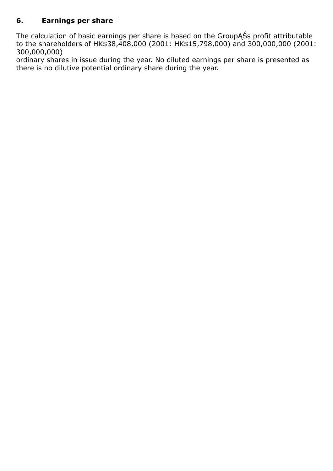## 6. Earnings per share

The calculation of basic earnings per share is based on the GroupĄŚs profit attributable to the shareholders of HK\$38,408,000 (2001: HK\$15,798,000) and 300,000,000 (2001: 300,000,000)

ordinary shares in issue during the year. No diluted earnings per share is presented as there is no dilutive potential ordinary share during the year.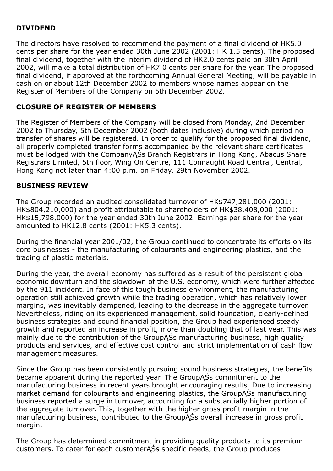## DIVIDEND

The directors have resolved to recommend the payment of a final dividend of HK5.0 cents per share for the year ended 30th June 2002 (2001: HK 1.5 cents). The proposed final dividend, together with the interim dividend of HK2.0 cents paid on 30th April 2002, will make a total distribution of HK7.0 cents per share for the year. The proposed final dividend, if approved at the forthcoming Annual General Meeting, will be payable in cash on or about 12th December 2002 to members whose names appear on the Register of Members of the Company on 5th December 2002.

### CLOSURE OF REGISTER OF MEMBERS

The Register of Members of the Company will be closed from Monday, 2nd December 2002 to Thursday, 5th December 2002 (both dates inclusive) during which period no transfer of shares will be registered. In order to qualify for the proposed final dividend, all properly completed transfer forms accompanied by the relevant share certificates must be lodged with the CompanyĄŚs Branch Registrars in Hong Kong, Abacus Share Registrars Limited, 5th floor, Wing On Centre, 111 Connaught Road Central, Central, Hong Kong not later than 4:00 p.m. on Friday, 29th November 2002.

#### BUSINESS REVIEW

The Group recorded an audited consolidated turnover of HK\$747,281,000 (2001: HK\$804,210,000) and profit attributable to shareholders of HK\$38,408,000 (2001: HK\$15,798,000) for the year ended 30th June 2002. Earnings per share for the year amounted to HK12.8 cents (2001: HK5.3 cents).

During the financial year 2001/02, the Group continued to concentrate its efforts on its core businesses the manufacturing of colourants and engineering plastics, and the trading of plastic materials.

During the year, the overall economy has suffered as a result of the persistent global economic downturn and the slowdown of the U.S. economy, which were further affected by the 911 incident. In face of this tough business environment, the manufacturing operation still achieved growth while the trading operation, which has relatively lower margins, was inevitably dampened, leading to the decrease in the aggregate turnover. Nevertheless, riding on its experienced management, solid foundation, clearly-defined business strategies and sound financial position, the Group had experienced steady growth and reported an increase in profit, more than doubling that of last year. This was mainly due to the contribution of the GroupĄŚs manufacturing business, high quality products and services, and effective cost control and strict implementation of cash flow management measures.

Since the Group has been consistently pursuing sound business strategies, the benefits became apparent during the reported year. The GroupASs commitment to the manufacturing business in recent years brought encouraging results. Due to increasing market demand for colourants and engineering plastics, the GroupĄŚs manufacturing business reported a surge in turnover, accounting for a substantially higher portion of the aggregate turnover. This, together with the higher gross profit margin in the manufacturing business, contributed to the GroupĄŚs overall increase in gross profit margin.

The Group has determined commitment in providing quality products to its premium customers. To cater for each customerĄŚs specific needs, the Group produces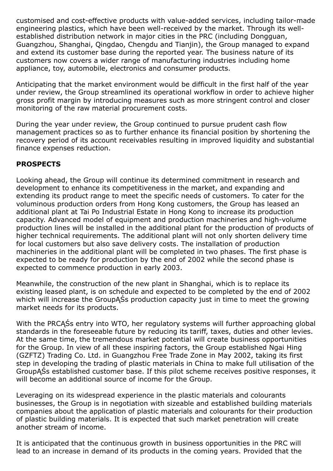customised and cost-effective products with value-added services, including tailor-made engineering plastics, which have been well-received by the market. Through its wellestablished distribution network in major cities in the PRC (including Dongguan, Guangzhou, Shanghai, Qingdao, Chengdu and Tianjin), the Group managed to expand and extend its customer base during the reported year. The business nature of its customers now covers a wider range of manufacturing industries including home appliance, toy, automobile, electronics and consumer products.

Anticipating that the market environment would be difficult in the first half of the year under review, the Group streamlined its operational workflow in order to achieve higher gross profit margin by introducing measures such as more stringent control and closer monitoring of the raw material procurement costs.

During the year under review, the Group continued to pursue prudent cash flow management practices so as to further enhance its financial position by shortening the recovery period of its account receivables resulting in improved liquidity and substantial finance expenses reduction.

## **PROSPECTS**

Looking ahead, the Group will continue its determined commitment in research and development to enhance its competitiveness in the market, and expanding and extending its product range to meet the specific needs of customers. To cater for the voluminous production orders from Hong Kong customers, the Group has leased an additional plant at Tai Po Industrial Estate in Hong Kong to increase its production capacity. Advanced model of equipment and production machineries and high-volume production lines will be installed in the additional plant for the production of products of higher technical requirements. The additional plant will not only shorten delivery time for local customers but also save delivery costs. The installation of production machineries in the additional plant will be completed in two phases. The first phase is expected to be ready for production by the end of 2002 while the second phase is expected to commence production in early 2003.

Meanwhile, the construction of the new plant in Shanghai, which is to replace its existing leased plant, is on schedule and expected to be completed by the end of 2002 which will increase the GroupASs production capacity just in time to meet the growing market needs for its products.

With the PRCĄŚs entry into WTO, her regulatory systems will further approaching global standards in the foreseeable future by reducing its tariff, taxes, duties and other levies. At the same time, the tremendous market potential will create business opportunities for the Group. In view of all these inspiring factors, the Group established Ngai Hing (GZFTZ) Trading Co. Ltd. in Guangzhou Free Trade Zone in May 2002, taking its first step in developing the trading of plastic materials in China to make full utilisation of the GroupĄŚs established customer base. If this pilot scheme receives positive responses, it will become an additional source of income for the Group.

Leveraging on its widespread experience in the plastic materials and colourants businesses, the Group is in negotiation with sizeable and established building materials companies about the application of plastic materials and colourants for their production of plastic building materials. It is expected that such market penetration will create another stream of income.

It is anticipated that the continuous growth in business opportunities in the PRC will lead to an increase in demand of its products in the coming years. Provided that the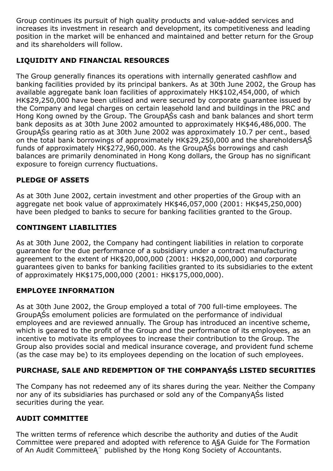Group continues its pursuit of high quality products and value-added services and increases its investment in research and development, its competitiveness and leading position in the market will be enhanced and maintained and better return for the Group and its shareholders will follow.

## LIQUIDITY AND FINANCIAL RESOURCES

The Group generally finances its operations with internally generated cashflow and banking facilities provided by its principal bankers. As at 30th June 2002, the Group has available aggregate bank loan facilities of approximately HK\$102,454,000, of which HK\$29,250,000 have been utilised and were secured by corporate guarantee issued by the Company and legal charges on certain leasehold land and buildings in the PRC and Hong Kong owned by the Group. The GroupĄŚs cash and bank balances and short term bank deposits as at 30th June 2002 amounted to approximately HK\$46,486,000. The GroupĄŚs gearing ratio as at 30th June 2002 was approximately 10.7 per cent., based on the total bank borrowings of approximately HK\$29,250,000 and the shareholdersĄŚ funds of approximately HK\$272,960,000. As the GroupĄŚs borrowings and cash balances are primarily denominated in Hong Kong dollars, the Group has no significant exposure to foreign currency fluctuations.

## PLEDGE OF ASSETS

As at 30th June 2002, certain investment and other properties of the Group with an aggregate net book value of approximately HK\$46,057,000 (2001: HK\$45,250,000) have been pledged to banks to secure for banking facilities granted to the Group.

## CONTINGENT LIABILITIES

As at 30th June 2002, the Company had contingent liabilities in relation to corporate guarantee for the due performance of a subsidiary under a contract manufacturing agreement to the extent of HK\$20,000,000 (2001: HK\$20,000,000) and corporate guarantees given to banks for banking facilities granted to its subsidiaries to the extent of approximately HK\$175,000,000 (2001: HK\$175,000,000).

#### EMPLOYEE INFORMATION

As at 30th June 2002, the Group employed a total of 700 full-time employees. The GroupĄŚs emolument policies are formulated on the performance of individual employees and are reviewed annually. The Group has introduced an incentive scheme, which is geared to the profit of the Group and the performance of its employees, as an incentive to motivate its employees to increase their contribution to the Group. The Group also provides social and medical insurance coverage, and provident fund scheme (as the case may be) to its employees depending on the location of such employees.

## PURCHASE, SALE AND REDEMPTION OF THE COMPANYĄŚS LISTED SECURITIES

The Company has not redeemed any of its shares during the year. Neither the Company nor any of its subsidiaries has purchased or sold any of the CompanyĄŚs listed securities during the year.

#### AUDIT COMMITTEE

The written terms of reference which describe the authority and duties of the Audit Committee were prepared and adopted with reference to Ą§A Guide for The Formation of An Audit CommitteeĄ¨ published by the Hong Kong Society of Accountants.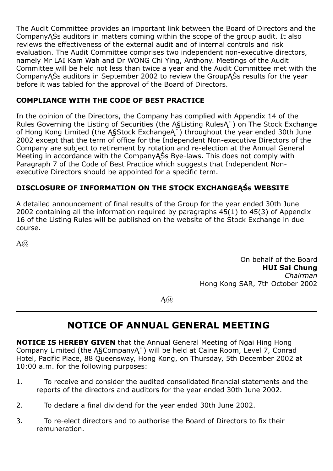The Audit Committee provides an important link between the Board of Directors and the CompanyĄŚs auditors in matters coming within the scope of the group audit. It also reviews the effectiveness of the external audit and of internal controls and risk evaluation. The Audit Committee comprises two independent non-executive directors, namely Mr LAI Kam Wah and Dr WONG Chi Ying, Anthony. Meetings of the Audit Committee will be held not less than twice a year and the Audit Committee met with the CompanyĄŚs auditors in September 2002 to review the GroupĄŚs results for the year before it was tabled for the approval of the Board of Directors.

### COMPLIANCE WITH THE CODE OF BEST PRACTICE

In the opinion of the Directors, the Company has complied with Appendix 14 of the Rules Governing the Listing of Securities (the Ą§Listing RulesĄ¨) on The Stock Exchange of Hong Kong Limited (the Ą§Stock ExchangeĄ¨) throughout the year ended 30th June 2002 except that the term of office for the Independent Non-executive Directors of the Company are subject to retirement by rotation and re-election at the Annual General Meeting in accordance with the CompanyASs Bye-laws. This does not comply with Paragraph 7 of the Code of Best Practice which suggests that Independent Nonexecutive Directors should be appointed for a specific term.

## DISCLOSURE OF INFORMATION ON THE STOCK EXCHANGEĄŚs WEBSITE

A detailed announcement of final results of the Group for the year ended 30th June 2002 containing all the information required by paragraphs 45(1) to 45(3) of Appendix 16 of the Listing Rules will be published on the website of the Stock Exchange in due course.

 $A(\widehat{a})$ 

On behalf of the Board HUI Sai Chung Chairman Hong Kong SAR, 7th October 2002

 $A(\widehat{a})$ 

# NOTICE OF ANNUAL GENERAL MEETING

NOTICE IS HEREBY GIVEN that the Annual General Meeting of Ngai Hing Hong Company Limited (the Ą§CompanyĄ¨) will be held at Caine Room, Level 7, Conrad Hotel, Pacific Place, 88 Queensway, Hong Kong, on Thursday, 5th December 2002 at 10:00 a.m. for the following purposes:

- 1. To receive and consider the audited consolidated financial statements and the reports of the directors and auditors for the year ended 30th June 2002.
- 2. To declare a final dividend for the year ended 30th June 2002.
- 3. To re-elect directors and to authorise the Board of Directors to fix their remuneration.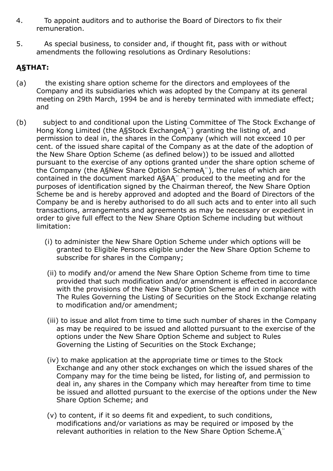- 4. To appoint auditors and to authorise the Board of Directors to fix their remuneration.
- 5. As special business, to consider and, if thought fit, pass with or without amendments the following resolutions as Ordinary Resolutions:

## Ą§THAT:

- (a) the existing share option scheme for the directors and employees of the Company and its subsidiaries which was adopted by the Company at its general meeting on 29th March, 1994 be and is hereby terminated with immediate effect; and
- (b) subject to and conditional upon the Listing Committee of The Stock Exchange of Hong Kong Limited (the Ą§Stock ExchangeĄ¨) granting the listing of, and permission to deal in, the shares in the Company (which will not exceed 10 per cent. of the issued share capital of the Company as at the date of the adoption of the New Share Option Scheme (as defined below)) to be issued and allotted pursuant to the exercise of any options granted under the share option scheme of the Company (the Ą§New Share Option SchemeĄ¨), the rules of which are contained in the document marked Ą§AĄ¨ produced to the meeting and for the purposes of identification signed by the Chairman thereof, the New Share Option Scheme be and is hereby approved and adopted and the Board of Directors of the Company be and is hereby authorised to do all such acts and to enter into all such transactions, arrangements and agreements as may be necessary or expedient in order to give full effect to the New Share Option Scheme including but without limitation:
	- (i) to administer the New Share Option Scheme under which options will be granted to Eligible Persons eligible under the New Share Option Scheme to subscribe for shares in the Company;
	- (ii) to modify and/or amend the New Share Option Scheme from time to time provided that such modification and/or amendment is effected in accordance with the provisions of the New Share Option Scheme and in compliance with The Rules Governing the Listing of Securities on the Stock Exchange relating to modification and/or amendment;
	- (iii) to issue and allot from time to time such number of shares in the Company as may be required to be issued and allotted pursuant to the exercise of the options under the New Share Option Scheme and subject to Rules Governing the Listing of Securities on the Stock Exchange;
	- (iv) to make application at the appropriate time or times to the Stock Exchange and any other stock exchanges on which the issued shares of the Company may for the time being be listed, for listing of, and permission to deal in, any shares in the Company which may hereafter from time to time be issued and allotted pursuant to the exercise of the options under the New Share Option Scheme; and
	- (v) to content, if it so deems fit and expedient, to such conditions, modifications and/or variations as may be required or imposed by the relevant authorities in relation to the New Share Option Scheme.Ą¨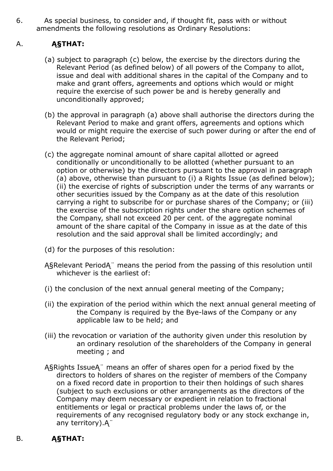6. As special business, to consider and, if thought fit, pass with or without amendments the following resolutions as Ordinary Resolutions:

## A. **ASTHAT:**

- (a) subject to paragraph (c) below, the exercise by the directors during the Relevant Period (as defined below) of all powers of the Company to allot, issue and deal with additional shares in the capital of the Company and to make and grant offers, agreements and options which would or might require the exercise of such power be and is hereby generally and unconditionally approved;
- (b) the approval in paragraph (a) above shall authorise the directors during the Relevant Period to make and grant offers, agreements and options which would or might require the exercise of such power during or after the end of the Relevant Period;
- (c) the aggregate nominal amount of share capital allotted or agreed conditionally or unconditionally to be allotted (whether pursuant to an option or otherwise) by the directors pursuant to the approval in paragraph (a) above, otherwise than pursuant to (i) a Rights Issue (as defined below); (ii) the exercise of rights of subscription under the terms of any warrants or other securities issued by the Company as at the date of this resolution carrying a right to subscribe for or purchase shares of the Company; or (iii) the exercise of the subscription rights under the share option schemes of the Company, shall not exceed 20 per cent. of the aggregate nominal amount of the share capital of the Company in issue as at the date of this resolution and the said approval shall be limited accordingly; and
- (d) for the purposes of this resolution:
- Ą§Relevant PeriodĄ¨ means the period from the passing of this resolution until whichever is the earliest of:
- (i) the conclusion of the next annual general meeting of the Company;
- (ii) the expiration of the period within which the next annual general meeting of the Company is required by the Bye-laws of the Company or any applicable law to be held; and
- (iii) the revocation or variation of the authority given under this resolution by an ordinary resolution of the shareholders of the Company in general meeting ; and
- Ą§Rights IssueĄ¨ means an offer of shares open for a period fixed by the directors to holders of shares on the register of members of the Company on a fixed record date in proportion to their then holdings of such shares (subject to such exclusions or other arrangements as the directors of the Company may deem necessary or expedient in relation to fractional entitlements or legal or practical problems under the laws of, or the requirements of any recognised regulatory body or any stock exchange in, any territory).Ą¨

## B. **ASTHAT:**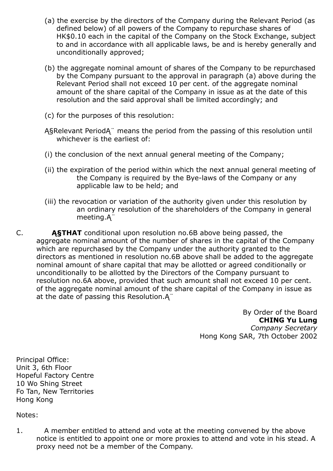- (a) the exercise by the directors of the Company during the Relevant Period (as defined below) of all powers of the Company to repurchase shares of HK\$0.10 each in the capital of the Company on the Stock Exchange, subject to and in accordance with all applicable laws, be and is hereby generally and unconditionally approved;
- (b) the aggregate nominal amount of shares of the Company to be repurchased by the Company pursuant to the approval in paragraph (a) above during the Relevant Period shall not exceed 10 per cent. of the aggregate nominal amount of the share capital of the Company in issue as at the date of this resolution and the said approval shall be limited accordingly; and
- (c) for the purposes of this resolution:
- Ą§Relevant PeriodĄ¨ means the period from the passing of this resolution until whichever is the earliest of:
- (i) the conclusion of the next annual general meeting of the Company;
- (ii) the expiration of the period within which the next annual general meeting of the Company is required by the Bye-laws of the Company or any applicable law to be held; and
- (iii) the revocation or variation of the authority given under this resolution by an ordinary resolution of the shareholders of the Company in general meeting.Ą¨
- C. **A§THAT** conditional upon resolution no.6B above being passed, the aggregate nominal amount of the number of shares in the capital of the Company which are repurchased by the Company under the authority granted to the directors as mentioned in resolution no.6B above shall be added to the aggregate nominal amount of share capital that may be allotted or agreed conditionally or unconditionally to be allotted by the Directors of the Company pursuant to resolution no.6A above, provided that such amount shall not exceed 10 per cent. of the aggregate nominal amount of the share capital of the Company in issue as at the date of passing this Resolution.Ą¨

By Order of the Board CHING Yu Lung Company Secretary Hong Kong SAR, 7th October 2002

Principal Office: Unit 3, 6th Floor Hopeful Factory Centre 10 Wo Shing Street Fo Tan, New Territories Hong Kong

Notes:

1. A member entitled to attend and vote at the meeting convened by the above notice is entitled to appoint one or more proxies to attend and vote in his stead. A proxy need not be a member of the Company.